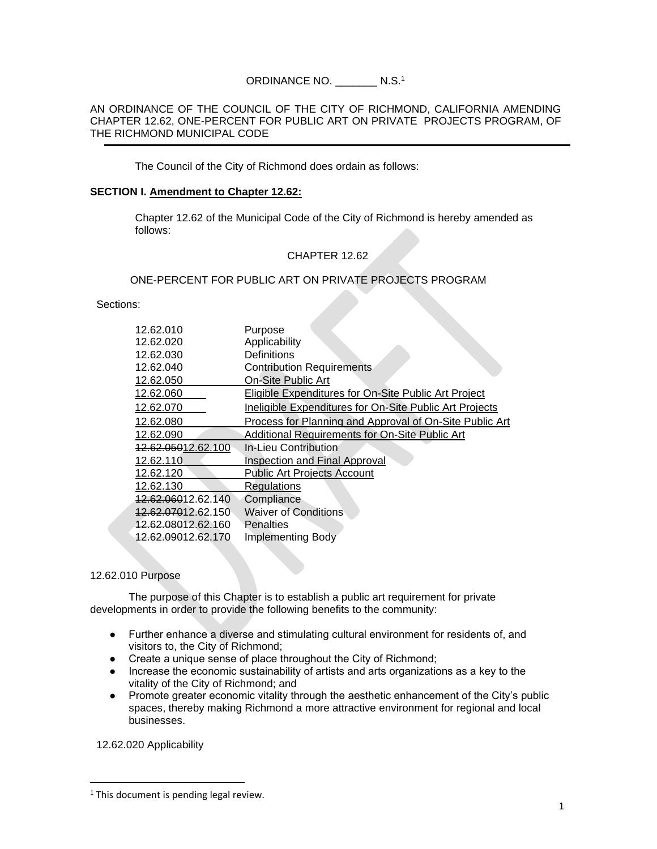# ORDINANCE NO. \_\_\_\_\_\_\_ N.S.<sup>1</sup>

#### AN ORDINANCE OF THE COUNCIL OF THE CITY OF RICHMOND, CALIFORNIA AMENDING CHAPTER 12.62, ONE-PERCENT FOR PUBLIC ART ON PRIVATE PROJECTS PROGRAM, OF THE RICHMOND MUNICIPAL CODE

The Council of the City of Richmond does ordain as follows:

#### **SECTION I. Amendment to Chapter 12.62:**

Chapter 12.62 of the Municipal Code of the City of Richmond is hereby amended as follows:

# CHAPTER 12.62

### ONE-PERCENT FOR PUBLIC ART ON PRIVATE PROJECTS PROGRAM

Sections:

| 12.62.010                      | Purpose                                                     |
|--------------------------------|-------------------------------------------------------------|
| 12.62.020                      | Applicability                                               |
| 12.62.030                      | Definitions                                                 |
| 12.62.040                      | <b>Contribution Requirements</b>                            |
| 12.62.050                      | <b>On-Site Public Art</b>                                   |
| 12.62.060                      | <b>Eligible Expenditures for On-Site Public Art Project</b> |
| 12.62.070                      | Ineligible Expenditures for On-Site Public Art Projects     |
| 12.62.080                      | Process for Planning and Approval of On-Site Public Art     |
| 12.62.090                      | Additional Requirements for On-Site Public Art              |
| 12.62.05012.62.100             | <b>In-Lieu Contribution</b>                                 |
| 12.62.110                      | <b>Inspection and Final Approval</b>                        |
| 12.62.120                      | <b>Public Art Projects Account</b>                          |
| 12.62.130                      | <b>Regulations</b>                                          |
| 12.62.06012.62.140             | Compliance                                                  |
| 12.62.07012.62.150             | <b>Waiver of Conditions</b>                                 |
| <del>12.62.080</del> 12.62.160 | Penalties                                                   |
| <del>12.62.090</del> 12.62.170 | <b>Implementing Body</b>                                    |
|                                |                                                             |

#### 12.62.010 Purpose

The purpose of this Chapter is to establish a public art requirement for private developments in order to provide the following benefits to the community:

- Further enhance a diverse and stimulating cultural environment for residents of, and visitors to, the City of Richmond;
- Create a unique sense of place throughout the City of Richmond;
- Increase the economic sustainability of artists and arts organizations as a key to the vitality of the City of Richmond; and
- Promote greater economic vitality through the aesthetic enhancement of the City's public spaces, thereby making Richmond a more attractive environment for regional and local businesses.

12.62.020 Applicability

 $1$ <sup>1</sup> This document is pending legal review.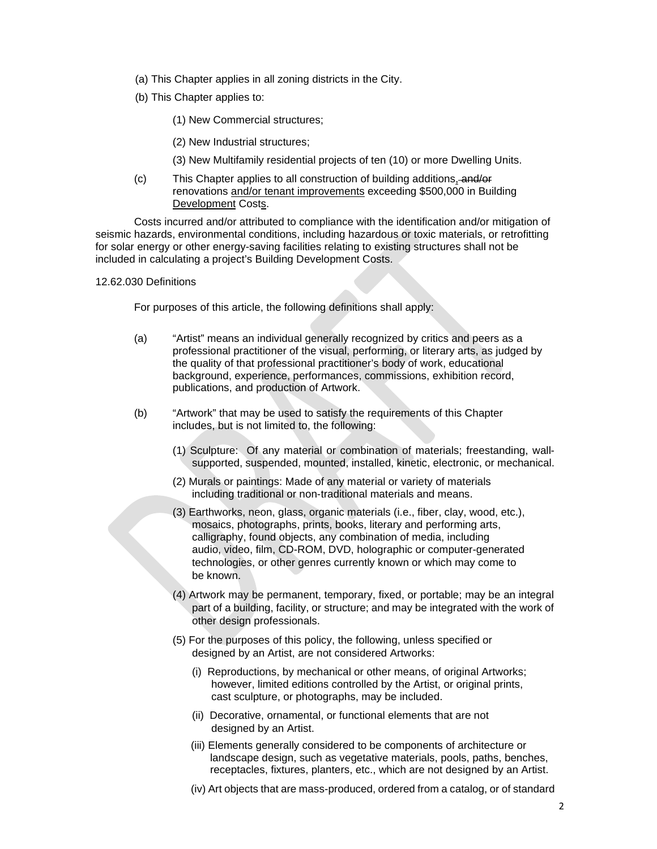- (a) This Chapter applies in all zoning districts in the City.
- (b) This Chapter applies to:
	- (1) New Commercial structures;
	- (2) New Industrial structures;
	- (3) New Multifamily residential projects of ten (10) or more Dwelling Units.
- (c) This Chapter applies to all construction of building additions, and/or renovations and/or tenant improvements exceeding \$500,000 in Building Development Costs.

Costs incurred and/or attributed to compliance with the identification and/or mitigation of seismic hazards, environmental conditions, including hazardous or toxic materials, or retrofitting for solar energy or other energy-saving facilities relating to existing structures shall not be included in calculating a project's Building Development Costs.

#### 12.62.030 Definitions

For purposes of this article, the following definitions shall apply:

- (a) "Artist" means an individual generally recognized by critics and peers as a professional practitioner of the visual, performing, or literary arts, as judged by the quality of that professional practitioner's body of work, educational background, experience, performances, commissions, exhibition record, publications, and production of Artwork.
- (b) "Artwork" that may be used to satisfy the requirements of this Chapter includes, but is not limited to, the following:
	- (1) Sculpture: Of any material or combination of materials; freestanding, wallsupported, suspended, mounted, installed, kinetic, electronic, or mechanical.
	- (2) Murals or paintings: Made of any material or variety of materials including traditional or non-traditional materials and means.
	- (3) Earthworks, neon, glass, organic materials (i.e., fiber, clay, wood, etc.), mosaics, photographs, prints, books, literary and performing arts, calligraphy, found objects, any combination of media, including audio, video, film, CD-ROM, DVD, holographic or computer-generated technologies, or other genres currently known or which may come to be known.
	- (4) Artwork may be permanent, temporary, fixed, or portable; may be an integral part of a building, facility, or structure; and may be integrated with the work of other design professionals.
	- (5) For the purposes of this policy, the following, unless specified or designed by an Artist, are not considered Artworks:
		- (i) Reproductions, by mechanical or other means, of original Artworks; however, limited editions controlled by the Artist, or original prints, cast sculpture, or photographs, may be included.
		- (ii) Decorative, ornamental, or functional elements that are not designed by an Artist.
		- (iii) Elements generally considered to be components of architecture or landscape design, such as vegetative materials, pools, paths, benches, receptacles, fixtures, planters, etc., which are not designed by an Artist.
		- (iv) Art objects that are mass-produced, ordered from a catalog, or of standard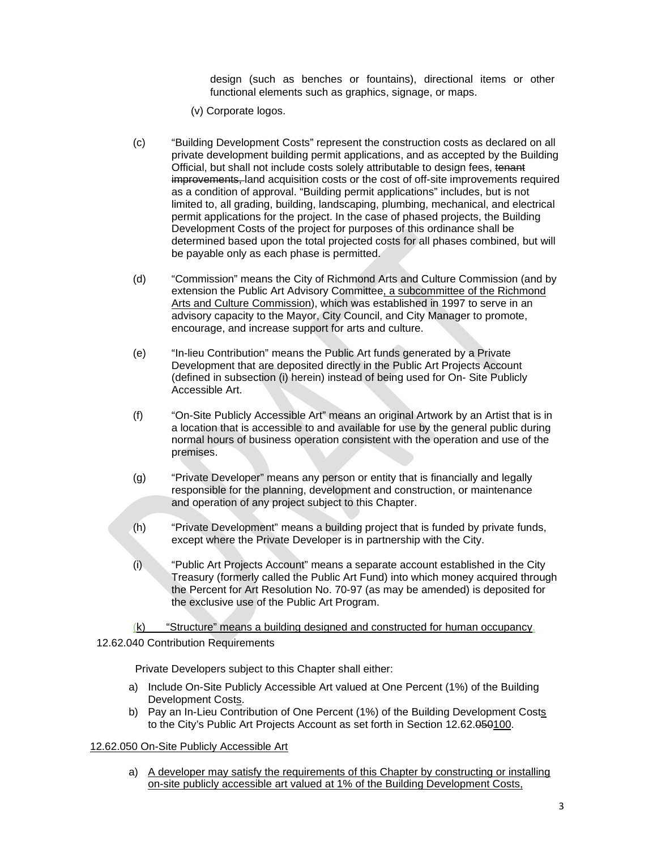design (such as benches or fountains), directional items or other functional elements such as graphics, signage, or maps.

- (v) Corporate logos.
- (c) "Building Development Costs" represent the construction costs as declared on all private development building permit applications, and as accepted by the Building Official, but shall not include costs solely attributable to design fees, tenant improvements, land acquisition costs or the cost of off-site improvements required as a condition of approval. "Building permit applications" includes, but is not limited to, all grading, building, landscaping, plumbing, mechanical, and electrical permit applications for the project. In the case of phased projects, the Building Development Costs of the project for purposes of this ordinance shall be determined based upon the total projected costs for all phases combined, but will be payable only as each phase is permitted.
- (d) "Commission" means the City of Richmond Arts and Culture Commission (and by extension the Public Art Advisory Committee, a subcommittee of the Richmond Arts and Culture Commission), which was established in 1997 to serve in an advisory capacity to the Mayor, City Council, and City Manager to promote, encourage, and increase support for arts and culture.
- (e) "In-lieu Contribution" means the Public Art funds generated by a Private Development that are deposited directly in the Public Art Projects Account (defined in subsection (i) herein) instead of being used for On- Site Publicly Accessible Art.
- (f) "On-Site Publicly Accessible Art" means an original Artwork by an Artist that is in a location that is accessible to and available for use by the general public during normal hours of business operation consistent with the operation and use of the premises.
- (g) "Private Developer" means any person or entity that is financially and legally responsible for the planning, development and construction, or maintenance and operation of any project subject to this Chapter.
- (h) "Private Development" means a building project that is funded by private funds, except where the Private Developer is in partnership with the City.
- (i) "Public Art Projects Account" means a separate account established in the City Treasury (formerly called the Public Art Fund) into which money acquired through the Percent for Art Resolution No. 70-97 (as may be amended) is deposited for the exclusive use of the Public Art Program.

(k) "Structure" means a building designed and constructed for human occupancy.

#### 12.62.040 Contribution Requirements

Private Developers subject to this Chapter shall either:

- a) Include On-Site Publicly Accessible Art valued at One Percent (1%) of the Building Development Costs.
- b) Pay an In-Lieu Contribution of One Percent (1%) of the Building Development Costs to the City's Public Art Projects Account as set forth in Section 12.62.050100.

# 12.62.050 On-Site Publicly Accessible Art

a) A developer may satisfy the requirements of this Chapter by constructing or installing on-site publicly accessible art valued at 1% of the Building Development Costs,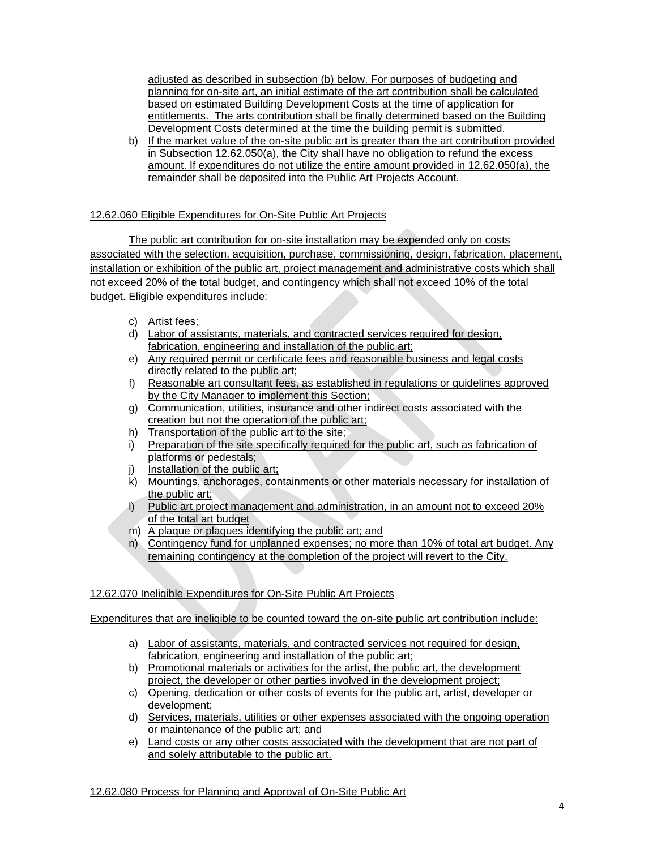adjusted as described in subsection (b) below. For purposes of budgeting and planning for on-site art, an initial estimate of the art contribution shall be calculated based on estimated Building Development Costs at the time of application for entitlements. The arts contribution shall be finally determined based on the Building Development Costs determined at the time the building permit is submitted.

b) If the market value of the on-site public art is greater than the art contribution provided in Subsection 12.62.050(a), the City shall have no obligation to refund the excess amount. If expenditures do not utilize the entire amount provided in 12.62.050(a), the remainder shall be deposited into the Public Art Projects Account.

# 12.62.060 Eligible Expenditures for On-Site Public Art Projects

The public art contribution for on-site installation may be expended only on costs associated with the selection, acquisition, purchase, commissioning, design, fabrication, placement, installation or exhibition of the public art, project management and administrative costs which shall not exceed 20% of the total budget, and contingency which shall not exceed 10% of the total budget. Eligible expenditures include:

- c) Artist fees;
- d) Labor of assistants, materials, and contracted services required for design, fabrication, engineering and installation of the public art;
- e) Any required permit or certificate fees and reasonable business and legal costs directly related to the public art;
- f) Reasonable art consultant fees, as established in regulations or guidelines approved by the City Manager to implement this Section;
- g) Communication, utilities, insurance and other indirect costs associated with the creation but not the operation of the public art;
- h) Transportation of the public art to the site;
- i) Preparation of the site specifically required for the public art, such as fabrication of platforms or pedestals;
- j) Installation of the public art;
- k) Mountings, anchorages, containments or other materials necessary for installation of the public art;
- l) Public art project management and administration, in an amount not to exceed 20% of the total art budget
- m) A plaque or plaques identifying the public art; and
- n) Contingency fund for unplanned expenses; no more than 10% of total art budget. Any remaining contingency at the completion of the project will revert to the City.

# 12.62.070 Ineligible Expenditures for On-Site Public Art Projects

Expenditures that are ineligible to be counted toward the on-site public art contribution include:

- a) Labor of assistants, materials, and contracted services not required for design, fabrication, engineering and installation of the public art;
- b) Promotional materials or activities for the artist, the public art, the development project, the developer or other parties involved in the development project;
- c) Opening, dedication or other costs of events for the public art, artist, developer or development;
- d) Services, materials, utilities or other expenses associated with the ongoing operation or maintenance of the public art; and
- e) Land costs or any other costs associated with the development that are not part of and solely attributable to the public art.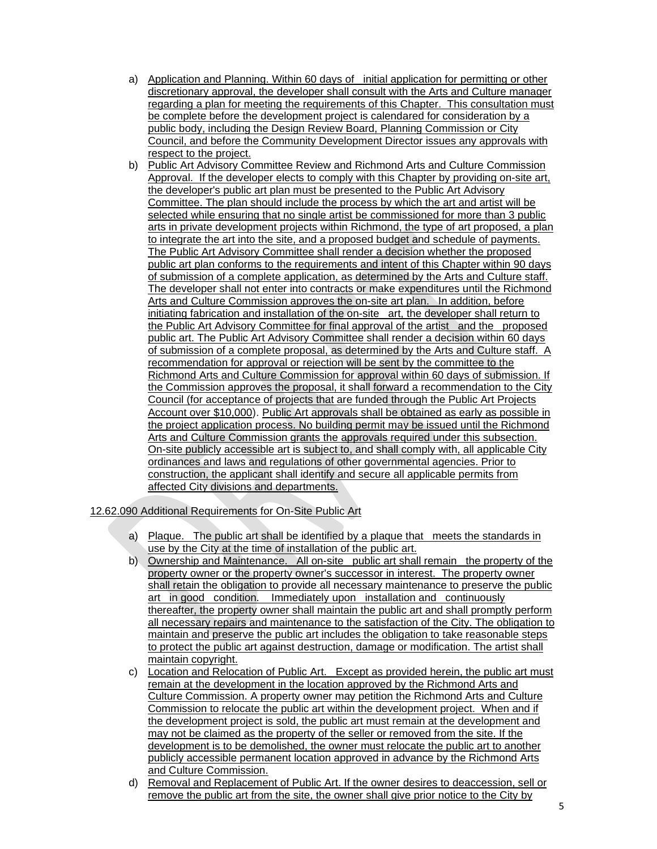- a) Application and Planning. Within 60 days of initial application for permitting or other discretionary approval, the developer shall consult with the Arts and Culture manager regarding a plan for meeting the requirements of this Chapter. This consultation must be complete before the development project is calendared for consideration by a public body, including the Design Review Board, Planning Commission or City Council, and before the Community Development Director issues any approvals with respect to the project.
- b) Public Art Advisory Committee Review and Richmond Arts and Culture Commission Approval. If the developer elects to comply with this Chapter by providing on-site art, the developer's public art plan must be presented to the Public Art Advisory Committee. The plan should include the process by which the art and artist will be selected while ensuring that no single artist be commissioned for more than 3 public arts in private development projects within Richmond, the type of art proposed, a plan to integrate the art into the site, and a proposed budget and schedule of payments. The Public Art Advisory Committee shall render a decision whether the proposed public art plan conforms to the requirements and intent of this Chapter within 90 days of submission of a complete application, as determined by the Arts and Culture staff. The developer shall not enter into contracts or make expenditures until the Richmond Arts and Culture Commission approves the on-site art plan. In addition, before initiating fabrication and installation of the on-site art, the developer shall return to the Public Art Advisory Committee for final approval of the artist and the proposed public art. The Public Art Advisory Committee shall render a decision within 60 days of submission of a complete proposal, as determined by the Arts and Culture staff. A recommendation for approval or rejection will be sent by the committee to the Richmond Arts and Culture Commission for approval within 60 days of submission. If the Commission approves the proposal, it shall forward a recommendation to the City Council (for acceptance of projects that are funded through the Public Art Projects Account over \$10,000). Public Art approvals shall be obtained as early as possible in the project application process. No building permit may be issued until the Richmond Arts and Culture Commission grants the approvals required under this subsection. On-site publicly accessible art is subject to, and shall comply with, all applicable City ordinances and laws and regulations of other governmental agencies. Prior to construction, the applicant shall identify and secure all applicable permits from affected City divisions and departments.

# 12.62.090 Additional Requirements for On-Site Public Art

- a) Plaque. The public art shall be identified by a plaque that meets the standards in use by the City at the time of installation of the public art.
- b) Ownership and Maintenance. All on-site public art shall remain the property of the property owner or the property owner's successor in interest. The property owner shall retain the obligation to provide all necessary maintenance to preserve the public art in good condition. Immediately upon installation and continuously thereafter, the property owner shall maintain the public art and shall promptly perform all necessary repairs and maintenance to the satisfaction of the City. The obligation to maintain and preserve the public art includes the obligation to take reasonable steps to protect the public art against destruction, damage or modification. The artist shall maintain copyright.
- c) Location and Relocation of Public Art. Except as provided herein, the public art must remain at the development in the location approved by the Richmond Arts and Culture Commission. A property owner may petition the Richmond Arts and Culture Commission to relocate the public art within the development project. When and if the development project is sold, the public art must remain at the development and may not be claimed as the property of the seller or removed from the site. If the development is to be demolished, the owner must relocate the public art to another publicly accessible permanent location approved in advance by the Richmond Arts and Culture Commission.
- d) Removal and Replacement of Public Art. If the owner desires to deaccession, sell or remove the public art from the site, the owner shall give prior notice to the City by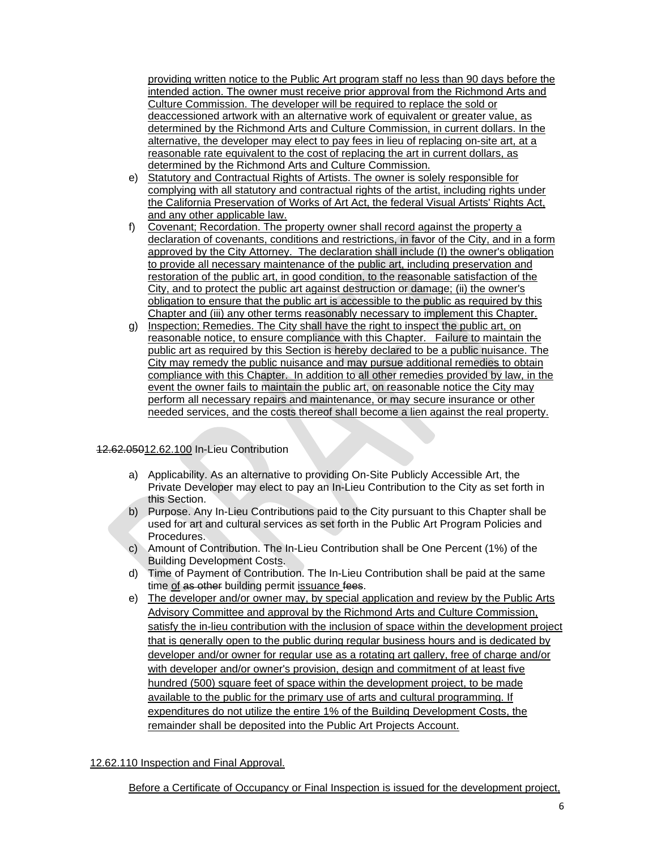providing written notice to the Public Art program staff no less than 90 days before the intended action. The owner must receive prior approval from the Richmond Arts and Culture Commission. The developer will be required to replace the sold or deaccessioned artwork with an alternative work of equivalent or greater value, as determined by the Richmond Arts and Culture Commission, in current dollars. In the alternative, the developer may elect to pay fees in lieu of replacing on-site art, at a reasonable rate equivalent to the cost of replacing the art in current dollars, as determined by the Richmond Arts and Culture Commission.

- e) Statutory and Contractual Rights of Artists. The owner is solely responsible for complying with all statutory and contractual rights of the artist, including rights under the California Preservation of Works of Art Act, the federal Visual Artists' Rights Act, and any other applicable law.
- f) Covenant; Recordation. The property owner shall record against the property a declaration of covenants, conditions and restrictions, in favor of the City, and in a form approved by the City Attorney. The declaration shall include (I) the owner's obligation to provide all necessary maintenance of the public art, including preservation and restoration of the public art, in good condition, to the reasonable satisfaction of the City, and to protect the public art against destruction or damage; (ii) the owner's obligation to ensure that the public art is accessible to the public as required by this Chapter and (iii) any other terms reasonably necessary to implement this Chapter.
- g) Inspection; Remedies. The City shall have the right to inspect the public art, on reasonable notice, to ensure compliance with this Chapter. Failure to maintain the public art as required by this Section is hereby declared to be a public nuisance. The City may remedy the public nuisance and may pursue additional remedies to obtain compliance with this Chapter. In addition to all other remedies provided by law, in the event the owner fails to maintain the public art, on reasonable notice the City may perform all necessary repairs and maintenance, or may secure insurance or other needed services, and the costs thereof shall become a lien against the real property.

# 12.62.05012.62.100 In-Lieu Contribution

- a) Applicability. As an alternative to providing On-Site Publicly Accessible Art, the Private Developer may elect to pay an In-Lieu Contribution to the City as set forth in this Section.
- b) Purpose. Any In-Lieu Contributions paid to the City pursuant to this Chapter shall be used for art and cultural services as set forth in the Public Art Program Policies and Procedures.
- c) Amount of Contribution. The In-Lieu Contribution shall be One Percent (1%) of the Building Development Costs.
- d) Time of Payment of Contribution. The In-Lieu Contribution shall be paid at the same time of as other building permit issuance fees.
- e) The developer and/or owner may, by special application and review by the Public Arts Advisory Committee and approval by the Richmond Arts and Culture Commission, satisfy the in-lieu contribution with the inclusion of space within the development project that is generally open to the public during regular business hours and is dedicated by developer and/or owner for regular use as a rotating art gallery, free of charge and/or with developer and/or owner's provision, design and commitment of at least five hundred (500) square feet of space within the development project, to be made available to the public for the primary use of arts and cultural programming. If expenditures do not utilize the entire 1% of the Building Development Costs, the remainder shall be deposited into the Public Art Projects Account.

#### 12.62.110 Inspection and Final Approval.

Before a Certificate of Occupancy or Final Inspection is issued for the development project,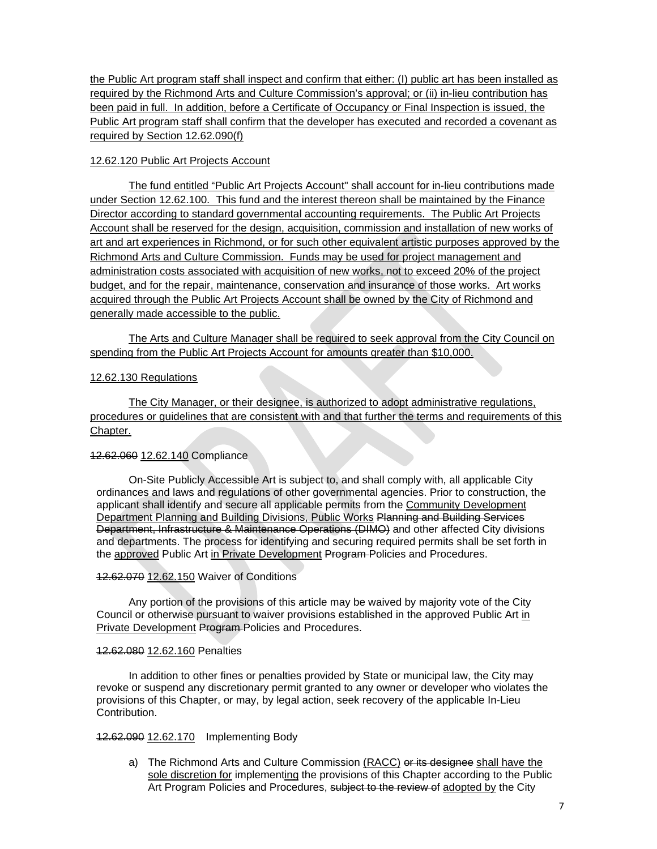the Public Art program staff shall inspect and confirm that either: (I) public art has been installed as required by the Richmond Arts and Culture Commission's approval; or (ii) in-lieu contribution has been paid in full. In addition, before a Certificate of Occupancy or Final Inspection is issued, the Public Art program staff shall confirm that the developer has executed and recorded a covenant as required by Section 12.62.090(f)

### 12.62.120 Public Art Projects Account

The fund entitled "Public Art Projects Account" shall account for in-lieu contributions made under Section 12.62.100. This fund and the interest thereon shall be maintained by the Finance Director according to standard governmental accounting requirements. The Public Art Projects Account shall be reserved for the design, acquisition, commission and installation of new works of art and art experiences in Richmond, or for such other equivalent artistic purposes approved by the Richmond Arts and Culture Commission. Funds may be used for project management and administration costs associated with acquisition of new works, not to exceed 20% of the project budget, and for the repair, maintenance, conservation and insurance of those works. Art works acquired through the Public Art Projects Account shall be owned by the City of Richmond and generally made accessible to the public.

The Arts and Culture Manager shall be required to seek approval from the City Council on spending from the Public Art Projects Account for amounts greater than \$10,000.

### 12.62.130 Regulations

The City Manager, or their designee, is authorized to adopt administrative regulations, procedures or guidelines that are consistent with and that further the terms and requirements of this Chapter.

# 12.62.060 12.62.140 Compliance

On-Site Publicly Accessible Art is subject to, and shall comply with, all applicable City ordinances and laws and regulations of other governmental agencies. Prior to construction, the applicant shall identify and secure all applicable permits from the Community Development Department Planning and Building Divisions, Public Works Planning and Building Services Department, Infrastructure & Maintenance Operations (DIMO) and other affected City divisions and departments. The process for identifying and securing required permits shall be set forth in the approved Public Art in Private Development Program Policies and Procedures.

### 12.62.070 12.62.150 Waiver of Conditions

Any portion of the provisions of this article may be waived by majority vote of the City Council or otherwise pursuant to waiver provisions established in the approved Public Art in Private Development Program Policies and Procedures.

#### 12.62.080 12.62.160 Penalties

In addition to other fines or penalties provided by State or municipal law, the City may revoke or suspend any discretionary permit granted to any owner or developer who violates the provisions of this Chapter, or may, by legal action, seek recovery of the applicable In-Lieu Contribution.

### 12.62.090 12.62.170 Implementing Body

a) The Richmond Arts and Culture Commission (RACC) or its designee shall have the sole discretion for implementing the provisions of this Chapter according to the Public Art Program Policies and Procedures, subject to the review of adopted by the City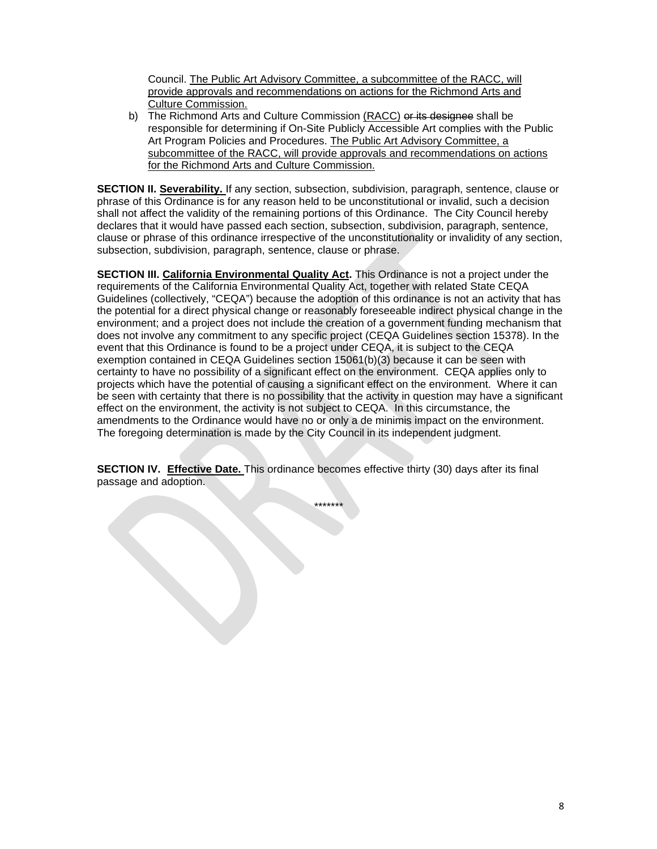Council. The Public Art Advisory Committee, a subcommittee of the RACC, will provide approvals and recommendations on actions for the Richmond Arts and Culture Commission.

b) The Richmond Arts and Culture Commission (RACC) or its designee shall be responsible for determining if On-Site Publicly Accessible Art complies with the Public Art Program Policies and Procedures. The Public Art Advisory Committee, a subcommittee of the RACC, will provide approvals and recommendations on actions for the Richmond Arts and Culture Commission.

**SECTION II. Severability.** If any section, subsection, subdivision, paragraph, sentence, clause or phrase of this Ordinance is for any reason held to be unconstitutional or invalid, such a decision shall not affect the validity of the remaining portions of this Ordinance. The City Council hereby declares that it would have passed each section, subsection, subdivision, paragraph, sentence, clause or phrase of this ordinance irrespective of the unconstitutionality or invalidity of any section, subsection, subdivision, paragraph, sentence, clause or phrase.

**SECTION III. California Environmental Quality Act.** This Ordinance is not a project under the requirements of the California Environmental Quality Act, together with related State CEQA Guidelines (collectively, "CEQA") because the adoption of this ordinance is not an activity that has the potential for a direct physical change or reasonably foreseeable indirect physical change in the environment; and a project does not include the creation of a government funding mechanism that does not involve any commitment to any specific project (CEQA Guidelines section 15378). In the event that this Ordinance is found to be a project under CEQA, it is subject to the CEQA exemption contained in CEQA Guidelines section 15061(b)(3) because it can be seen with certainty to have no possibility of a significant effect on the environment. CEQA applies only to projects which have the potential of causing a significant effect on the environment. Where it can be seen with certainty that there is no possibility that the activity in question may have a significant effect on the environment, the activity is not subject to CEQA. In this circumstance, the amendments to the Ordinance would have no or only a de minimis impact on the environment. The foregoing determination is made by the City Council in its independent judgment.

**SECTION IV. Effective Date.** This ordinance becomes effective thirty (30) days after its final passage and adoption.

\*\*\*\*\*\*\*